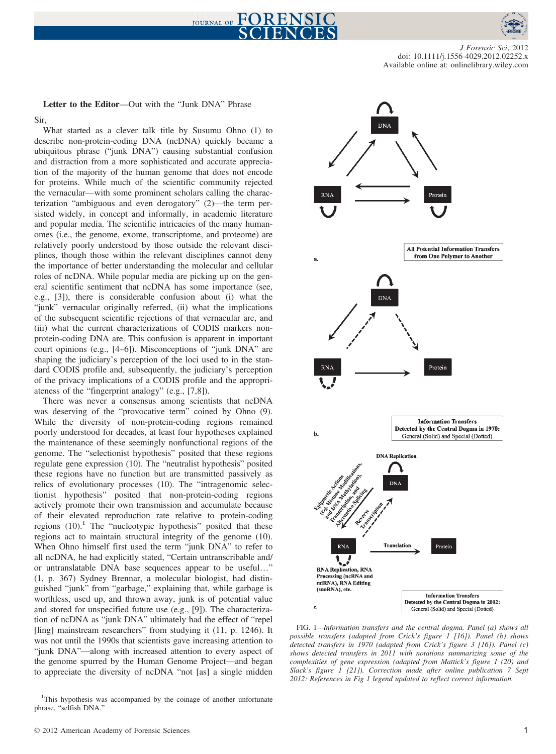



J Forensic Sci, 2012 doi: 10.1111/j.1556-4029.2012.02252.x Available online at: onlinelibrary.wiley.com

Letter to the Editor—Out with the "Junk DNA" Phrase Sir,

What started as a clever talk title by Susumu Ohno (1) to describe non-protein-coding DNA (ncDNA) quickly became a ubiquitous phrase ("junk DNA") causing substantial confusion and distraction from a more sophisticated and accurate appreciation of the majority of the human genome that does not encode for proteins. While much of the scientific community rejected the vernacular—with some prominent scholars calling the characterization "ambiguous and even derogatory" (2)—the term persisted widely, in concept and informally, in academic literature and popular media. The scientific intricacies of the many humanomes (i.e., the genome, exome, transcriptome, and proteome) are relatively poorly understood by those outside the relevant disciplines, though those within the relevant disciplines cannot deny the importance of better understanding the molecular and cellular roles of ncDNA. While popular media are picking up on the general scientific sentiment that ncDNA has some importance (see, e.g., [3]), there is considerable confusion about (i) what the "junk" vernacular originally referred, (ii) what the implications of the subsequent scientific rejections of that vernacular are, and (iii) what the current characterizations of CODIS markers nonprotein-coding DNA are. This confusion is apparent in important court opinions (e.g., [4–6]). Misconceptions of "junk DNA" are shaping the judiciary's perception of the loci used to in the standard CODIS profile and, subsequently, the judiciary's perception of the privacy implications of a CODIS profile and the appropriateness of the "fingerprint analogy" (e.g., [7,8]).

There was never a consensus among scientists that ncDNA was deserving of the "provocative term" coined by Ohno (9). While the diversity of non-protein-coding regions remained poorly understood for decades, at least four hypotheses explained the maintenance of these seemingly nonfunctional regions of the genome. The "selectionist hypothesis" posited that these regions regulate gene expression (10). The "neutralist hypothesis" posited these regions have no function but are transmitted passively as relics of evolutionary processes (10). The "intragenomic selectionist hypothesis" posited that non-protein-coding regions actively promote their own transmission and accumulate because of their elevated reproduction rate relative to protein-coding regions  $(10)$ .<sup>1</sup> The "nucleotypic hypothesis" posited that these regions act to maintain structural integrity of the genome (10). When Ohno himself first used the term "junk DNA" to refer to all ncDNA, he had explicitly stated, "Certain untranscribable and/ or untranslatable DNA base sequences appear to be useful…" (1, p. 367) Sydney Brennar, a molecular biologist, had distinguished "junk" from "garbage," explaining that, while garbage is worthless, used up, and thrown away, junk is of potential value and stored for unspecified future use (e.g., [9]). The characterization of ncDNA as "junk DNA" ultimately had the effect of "repel [ling] mainstream researchers" from studying it (11, p. 1246). It was not until the 1990s that scientists gave increasing attention to "junk DNA"—along with increased attention to every aspect of the genome spurred by the Human Genome Project—and began to appreciate the diversity of ncDNA "not [as] a single midden



FIG. 1––Information transfers and the central dogma. Panel (a) shows all possible transfers (adapted from Crick's figure 1 [16]). Panel (b) shows detected transfers in 1970 (adapted from Crick's figure 3 [16]). Panel (c) shows detected transfers in 2011 with notations summarizing some of the complexities of gene expression (adapted from Mattick's figure 1 (20) and Slack's figure 1 [21]). Correction made after online publication 7 Sept 2012: References in Fig 1 legend updated to reflect correct information.

<sup>&</sup>lt;sup>1</sup>This hypothesis was accompanied by the coinage of another unfortunate phrase, "selfish DNA."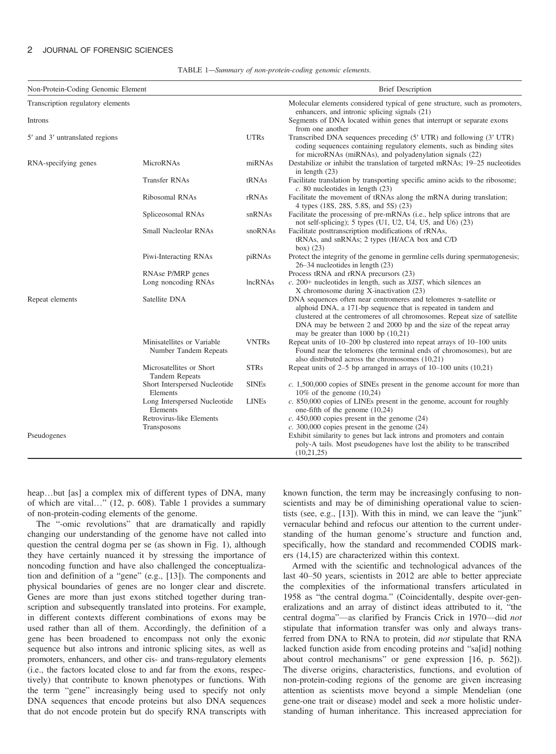## 2 JOURNAL OF FORENSIC SCIENCES

TABLE 1––Summary of non-protein-coding genomic elements.

| Non-Protein-Coding Genomic Element |                                                     |              | <b>Brief Description</b>                                                                                                                                                                                                                                                                                                                |  |
|------------------------------------|-----------------------------------------------------|--------------|-----------------------------------------------------------------------------------------------------------------------------------------------------------------------------------------------------------------------------------------------------------------------------------------------------------------------------------------|--|
| Transcription regulatory elements  |                                                     |              | Molecular elements considered typical of gene structure, such as promoters,<br>enhancers, and intronic splicing signals (21)                                                                                                                                                                                                            |  |
| Introns                            |                                                     |              | Segments of DNA located within genes that interrupt or separate exons<br>from one another                                                                                                                                                                                                                                               |  |
| 5' and 3' untranslated regions     |                                                     | <b>UTRs</b>  | Transcribed DNA sequences preceding (5' UTR) and following (3' UTR)<br>coding sequences containing regulatory elements, such as binding sites<br>for microRNAs (miRNAs), and polyadenylation signals (22)                                                                                                                               |  |
| RNA-specifying genes               | MicroRNAs                                           | miRNAs       | Destabilize or inhibit the translation of targeted mRNAs; 19–25 nucleotides<br>in length $(23)$                                                                                                                                                                                                                                         |  |
|                                    | <b>Transfer RNAs</b>                                | tRNAs        | Facilitate translation by transporting specific amino acids to the ribosome;<br>$c. 80$ nucleotides in length $(23)$                                                                                                                                                                                                                    |  |
|                                    | Ribosomal RNAs                                      | rRNAs        | Facilitate the movement of tRNAs along the mRNA during translation;<br>4 types (18S, 28S, 5.8S, and 5S) (23)                                                                                                                                                                                                                            |  |
|                                    | Spliceosomal RNAs                                   | snRNAs       | Facilitate the processing of pre-mRNAs (i.e., help splice introns that are<br>not self-splicing); 5 types $(U1, U2, U4, U5, and U6)$ $(23)$                                                                                                                                                                                             |  |
|                                    | Small Nucleolar RNAs                                | snoRNAs      | Facilitate posttranscription modifications of rRNAs,<br>tRNAs, and snRNAs; 2 types (H/ACA box and C/D)<br>box $(23)$                                                                                                                                                                                                                    |  |
|                                    | Piwi-Interacting RNAs                               | piRNAs       | Protect the integrity of the genome in germline cells during spermatogenesis;<br>$26-34$ nucleotides in length $(23)$                                                                                                                                                                                                                   |  |
|                                    | RNAse P/MRP genes                                   |              | Process tRNA and rRNA precursors (23)                                                                                                                                                                                                                                                                                                   |  |
|                                    | Long noncoding RNAs                                 | lncRNAs      | $c. 200+$ nucleotides in length, such as XIST, which silences an<br>X chromosome during X-inactivation (23)                                                                                                                                                                                                                             |  |
| Repeat elements                    | Satellite DNA                                       |              | DNA sequences often near centromeres and telomeres $\alpha$ -satellite or<br>alphoid DNA, a 171-bp sequence that is repeated in tandem and<br>clustered at the centromeres of all chromosomes. Repeat size of satellite<br>DNA may be between 2 and 2000 bp and the size of the repeat array<br>may be greater than $1000$ bp $(10,21)$ |  |
|                                    | Minisatellites or Variable<br>Number Tandem Repeats | <b>VNTRs</b> | Repeat units of $10-200$ bp clustered into repeat arrays of $10-100$ units<br>Found near the telomeres (the terminal ends of chromosomes), but are<br>also distributed across the chromosomes (10,21)                                                                                                                                   |  |
|                                    | Microsatellites or Short<br><b>Tandem Repeats</b>   | <b>STRs</b>  | Repeat units of $2-5$ bp arranged in arrays of $10-100$ units $(10,21)$                                                                                                                                                                                                                                                                 |  |
|                                    | Short Interspersed Nucleotide<br>Elements           | <b>SINEs</b> | $c. 1,500,000$ copies of SINEs present in the genome account for more than<br>$10\%$ of the genome $(10,24)$                                                                                                                                                                                                                            |  |
|                                    | Long Interspersed Nucleotide<br>Elements            | <b>LINEs</b> | c. 850,000 copies of LINEs present in the genome, account for roughly<br>one-fifth of the genome $(10,24)$                                                                                                                                                                                                                              |  |
|                                    | Retrovirus-like Elements                            |              | $c. 450,000$ copies present in the genome $(24)$                                                                                                                                                                                                                                                                                        |  |
|                                    | Transposons                                         |              | $c. 300,000$ copies present in the genome $(24)$                                                                                                                                                                                                                                                                                        |  |
| Pseudogenes                        |                                                     |              | Exhibit similarity to genes but lack introns and promoters and contain<br>poly-A tails. Most pseudogenes have lost the ability to be transcribed<br>(10,21,25)                                                                                                                                                                          |  |

heap...but [as] a complex mix of different types of DNA, many of which are vital…" (12, p. 608). Table 1 provides a summary of non-protein-coding elements of the genome.

The "-omic revolutions" that are dramatically and rapidly changing our understanding of the genome have not called into question the central dogma per se (as shown in Fig. 1), although they have certainly nuanced it by stressing the importance of noncoding function and have also challenged the conceptualization and definition of a "gene" (e.g., [13]). The components and physical boundaries of genes are no longer clear and discrete. Genes are more than just exons stitched together during transcription and subsequently translated into proteins. For example, in different contexts different combinations of exons may be used rather than all of them. Accordingly, the definition of a gene has been broadened to encompass not only the exonic sequence but also introns and intronic splicing sites, as well as promoters, enhancers, and other cis- and trans-regulatory elements (i.e., the factors located close to and far from the exons, respectively) that contribute to known phenotypes or functions. With the term "gene" increasingly being used to specify not only DNA sequences that encode proteins but also DNA sequences that do not encode protein but do specify RNA transcripts with

known function, the term may be increasingly confusing to nonscientists and may be of diminishing operational value to scientists (see, e.g., [13]). With this in mind, we can leave the "junk" vernacular behind and refocus our attention to the current understanding of the human genome's structure and function and, specifically, how the standard and recommended CODIS markers (14,15) are characterized within this context.

Armed with the scientific and technological advances of the last 40–50 years, scientists in 2012 are able to better appreciate the complexities of the informational transfers articulated in 1958 as "the central dogma." (Coincidentally, despite over-generalizations and an array of distinct ideas attributed to it, "the central dogma"—as clarified by Francis Crick in 1970—did not stipulate that information transfer was only and always transferred from DNA to RNA to protein, did *not* stipulate that RNA lacked function aside from encoding proteins and "sa[id] nothing about control mechanisms" or gene expression [16, p. 562]). The diverse origins, characteristics, functions, and evolution of non-protein-coding regions of the genome are given increasing attention as scientists move beyond a simple Mendelian (one gene-one trait or disease) model and seek a more holistic understanding of human inheritance. This increased appreciation for